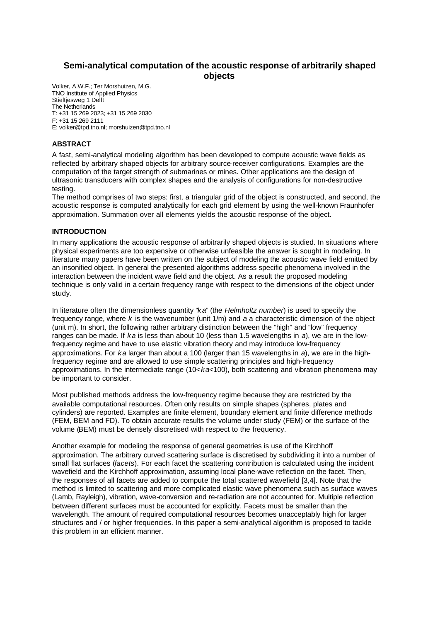# **Semi-analytical computation of the acoustic response of arbitrarily shaped objects**

Volker, A.W.F.; Ter Morshuizen, M.G. TNO Institute of Applied Physics Stieltjesweg 1 Delft The Netherlands T: +31 15 269 2023; +31 15 269 2030 F: +31 15 269 2111 E: volker@tpd.tno.nl; morshuizen@tpd.tno.nl

# **ABSTRACT**

A fast, semi-analytical modeling algorithm has been developed to compute acoustic wave fields as reflected by arbitrary shaped objects for arbitrary source-receiver configurations. Examples are the computation of the target strength of submarines or mines. Other applications are the design of ultrasonic transducers with complex shapes and the analysis of configurations for non-destructive testing.

The method comprises of two steps: first, a triangular grid of the object is constructed, and second, the acoustic response is computed analytically for each grid element by using the well-known Fraunhofer approximation. Summation over all elements yields the acoustic response of the object.

# **INTRODUCTION**

In many applications the acoustic response of arbitrarily shaped objects is studied. In situations where physical experiments are too expensive or otherwise unfeasible the answer is sought in modeling. In literature many papers have been written on the subject of modeling the acoustic wave field emitted by an insonified object. In general the presented algorithms address specific phenomena involved in the interaction between the incident wave field and the object. As a result the proposed modeling technique is only valid in a certain frequency range with respect to the dimensions of the object under study.

In literature often the dimensionless quantity "*ka*" (the *Helmholtz number*) is used to specify the frequency range, where *k* is the wavenumber (unit 1/m) and *a* a characteristic dimension of the object (unit m). In short, the following rather arbitrary distinction between the "high" and "low" frequency ranges can be made. If *ka* is less than about 10 (less than 1.5 wavelengths in *a*), we are in the lowfrequency regime and have to use elastic vibration theory and may introduce low-frequency approximations. For *ka* larger than about a 100 (larger than 15 wavelengths in *a*), we are in the highfrequency regime and are allowed to use simple scattering principles and high-frequency approximations. In the intermediate range (10<*ka*<100), both scattering and vibration phenomena may be important to consider.

Most published methods address the low-frequency regime because they are restricted by the available computational resources. Often only results on simple shapes (spheres, plates and cylinders) are reported. Examples are finite element, boundary element and finite difference methods (FEM, BEM and FD). To obtain accurate results the volume under study (FEM) or the surface of the volume (BEM) must be densely discretised with respect to the frequency.

Another example for modeling the response of general geometries is use of the Kirchhoff approximation. The arbitrary curved scattering surface is discretised by subdividing it into a number of small flat surfaces (*facets*). For each facet the scattering contribution is calculated using the incident wavefield and the Kirchhoff approximation, assuming local plane-wave reflection on the facet. Then, the responses of all facets are added to compute the total scattered wavefield [3,4]. Note that the method is limited to scattering and more complicated elastic wave phenomena such as surface waves (Lamb, Rayleigh), vibration, wave-conversion and re-radiation are not accounted for. Multiple reflection between different surfaces must be accounted for explicitly. Facets must be smaller than the wavelength. The amount of required computational resources becomes unacceptably high for larger structures and / or higher frequencies. In this paper a semi-analytical algorithm is proposed to tackle this problem in an efficient manner.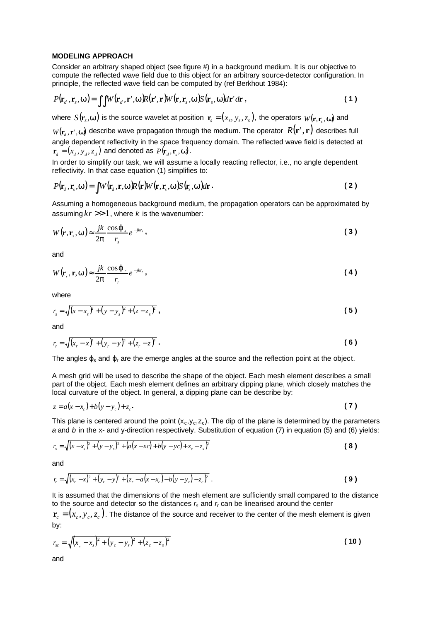### **MODELING APPROACH**

Consider an arbitrary shaped object (see figure #) in a background medium. It is our objective to compute the reflected wave field due to this object for an arbitrary source-detector configuration. In principle, the reflected wave field can be computed by (ref Berkhout 1984):

$$
P(\mathbf{r}_d, \mathbf{r}_s, \mathbf{w}) = \iint W(\mathbf{r}_d, \mathbf{r}', \mathbf{w}) R(\mathbf{r}', \mathbf{r}) W(\mathbf{r}, \mathbf{r}_s, \mathbf{w}) S(\mathbf{r}_s, \mathbf{w}) d\mathbf{r}' d\mathbf{r},
$$
\n(1)

where  $S(\mathbf{r}_s, \mathbf{w})$  is the source wavelet at position  $\mathbf{r}_s = (x_s, y_s, z_s)$ , the operators  $W(\mathbf{r}, \mathbf{r}_s, \mathbf{w})$  and

 $W(\mathbf{r}_d, \mathbf{r}', \mathbf{w})$  describe wave propagation through the medium. The operator  $\ R(\mathbf{r}',\mathbf{r})$  describes full angle dependent reflectivity in the space frequency domain. The reflected wave field is detected at  $\mathbf{r}_d = (x_d, y_d, z_d)$  and denoted as  $P(\mathbf{r}_d, \mathbf{r}_s, \mathbf{w})$ .

In order to simplify our task, we will assume a locally reacting reflector, i.e., no angle dependent reflectivity. In that case equation (1) simplifies to:

$$
P(\mathbf{r}_d, \mathbf{r}_s, \mathbf{w}) = \int W(\mathbf{r}_d, \mathbf{r}, \mathbf{w}) R(\mathbf{r}) W(\mathbf{r}, \mathbf{r}_s, \mathbf{w}) S(\mathbf{r}_s, \mathbf{w}) d\mathbf{r}.
$$
 (2)

Assuming a homogeneous background medium, the propagation operators can be approximated by assuming  $kr \gg 1$ , where *k* is the wavenumber:

$$
W(\mathbf{r}, \mathbf{r}_s, \mathbf{w}) \approx \frac{jk}{2p} \frac{\cos \mathbf{j} \cdot s}{r_s} e^{-jkr_s},
$$

and

$$
W(\mathbf{r}_r, \mathbf{r}, \mathbf{w}) \approx \frac{jk}{2p} \frac{\cos \mathbf{j}_r}{r_r} e^{-jkr_r},
$$

where

$$
r_s = \sqrt{(x - x_s)^2 + (y - y_s)^2 + (z - z_s)^2},
$$
\n(5)

and

$$
r_r = \sqrt{(x_r - x)^2 + (y_r - y)^2 + (z_r - z)^2}
$$
 (6)

The angles  $\varphi_s$  and  $\varphi_r$  are the emerge angles at the source and the reflection point at the object.

A mesh grid will be used to describe the shape of the object. Each mesh element describes a small part of the object. Each mesh element defines an arbitrary dipping plane, which closely matches the local curvature of the object. In general, a dipping plane can be describe by:

$$
z = a(x - x_c) + b(y - y_c) + z_c.
$$
\n
$$
(7)
$$

This plane is centered around the point  $(x_c,y_c,z_c)$ . The dip of the plane is determined by the parameters *a* and *b* in the x- and y-direction respectively. Substitution of equation (7) in equation (5) and (6) yields:

$$
r_s = \sqrt{(x - x_s)^2 + (y - y_s)^2 + (a(x - xc) + b(y - y_c) + z_c - z_s)^2}
$$
 (8)

and

$$
r_r = \sqrt{(x_r - x)^2 + (y_r - y)^2 + (z_r - a(x - x_c) - b(y - y_c) - z_c)^2}
$$
 (9)

It is assumed that the dimensions of the mesh element are sufficiently small compared to the distance to the source and detector so the distances *rs* and *r<sup>r</sup>* can be linearised around the center

 ${\bf r}_c = (x_c, y_c, z_c)$ . The distance of the source and receiver to the center of the mesh element is given by:

$$
r_{sc} = \sqrt{(x_c - x_s)^2 + (y_c - y_s)^2 + (z_c - z_s)^2}
$$
 (10)

and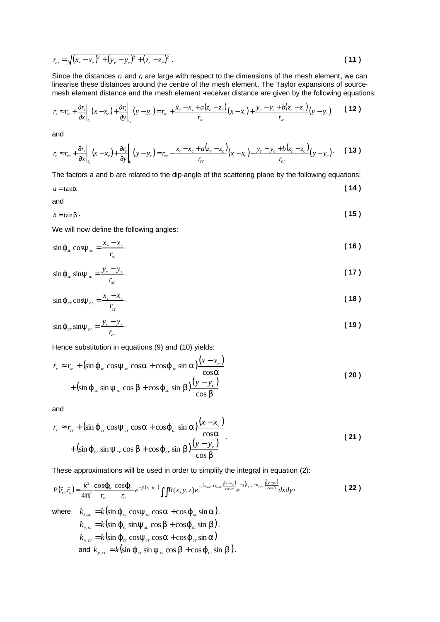$$
r_{cr} = \sqrt{(x_r - x_c)^2 + (y_r - y_c)^2 + (z_r - z_c)^2} \ .
$$
 (11)

Since the distances  $r_s$  and  $r_r$  are large with respect to the dimensions of the mesh element, we can linearise these distances around the centre of the mesh element. The Taylor expansions of sourcemesh element distance and the mesh element -receiver distance are given by the following equations:

$$
r_{s} \approx r_{sc} + \frac{\partial r_{s}}{\partial x}\bigg|_{r_{c}}(x - x_{c}) + \frac{\partial r_{s}}{\partial y}\bigg|_{r_{c}}(y - y_{c}) = r_{sc} + \frac{x_{c} - x_{s} + a(z_{c} - z_{s})}{r_{sc}}(x - x_{c}) + \frac{y_{c} - y_{s} + b(z_{c} - z_{s})}{r_{sc}}(y - y_{c})
$$
 (12)

and

$$
r_r \approx r_{cr} + \frac{\partial r_r}{\partial x}\bigg|_{\mathbf{r}_c} (x - x_c) + \frac{\partial r_r}{\partial y}\bigg|_{\mathbf{r}_c} (y - y_c) = r_{cr} - \frac{x_r - x_c + a(z_r - z_c)}{r_{cr}} (x - x_c) - \frac{y_r - y_c + b(z_r - z_c)}{r_{cr}} (y - y_c) \,.
$$
 (13)

The factors a and b are related to the dip-angle of the scattering plane by the following equations:

$$
a = \tan a \tag{14}
$$

and

$$
b = \tan b \tag{15}
$$

We will now define the following angles:

 $\ddot{\phantom{a}}$ 

$$
\sin \mathbf{j}_{sc} \cos \mathbf{y}_{sc} = \frac{x_c - x_s}{r_{sc}},\tag{16}
$$

$$
\sin \mathbf{j}_{\rm sc} \sin \mathbf{y}_{\rm sc} = \frac{y_c - y_s}{r_{\rm sc}},\tag{17}
$$

$$
\sin \mathbf{j}_{cr} \cos \mathbf{y}_{cr} = \frac{x_c - x_r}{r_{cr}},\tag{18}
$$

$$
\sin \mathbf{j}_{cr} \sin \mathbf{y}_{cr} = \frac{y_c - y_r}{r_{cr}}.
$$
 (19)

Hence substitution in equations (9) and (10) yields:

$$
r_{s} \approx r_{sc} + (\sin \mathbf{j}_{sc} \cos \mathbf{y}_{sc} \cos \mathbf{a} + \cos \mathbf{j}_{sc} \sin \mathbf{a}) \frac{(x - x_{c})}{\cos \mathbf{a}}
$$
  
+ 
$$
(\sin \mathbf{j}_{sc} \sin \mathbf{y}_{sc} \cos \mathbf{b} + \cos \mathbf{j}_{sc} \sin \mathbf{b}) \frac{(y - y_{c})}{\cos \mathbf{b}}
$$
 (20)

and

$$
r_r \approx r_{cr} + (\sin \mathbf{j} \, \frac{\partial}{\partial r} \cos \mathbf{y} \, \frac{\partial}{\partial r} \cos \mathbf{a} + \cos \mathbf{j} \, \frac{\partial}{\partial r} \sin \mathbf{a}) \frac{(x - x_c)}{\cos \mathbf{a}}
$$
  
+ (\sin \mathbf{j} \, \frac{\partial}{\partial r} \sin \mathbf{y} \, \frac{\partial}{\partial r} \cos \mathbf{b} + \cos \mathbf{j} \, \frac{\partial}{\partial r} \sin \mathbf{b}) \frac{(y - y\_c)}{\cos \mathbf{b}} (21)

These approximations will be used in order to simplify the integral in equation (2):

$$
P(\vec{r}_r, \vec{r}_s) = \frac{k^2}{4\vec{p}^2} \frac{\cos \vec{J}_{sc} \cos \vec{J}_{cr}}{r_{sc}} e^{-jk(r_{sc} + r_{cr})} \iint R(x, y, z) e^{-j(k_{x,sc} + k_{x,cr}) \frac{(x - x_c)}{\cos a}} e^{-j(k_{y,sc} + k_{y,cr}) \frac{(y - y_c)}{\cos b}} dx dy,
$$
 (22)

where 
$$
k_{x,\text{sc}} = k(\sin j_{\text{sc}} \cos y_{\text{sc}} \cos a + \cos j_{\text{sc}} \sin a),
$$
  
\n $k_{y,\text{sc}} = k(\sin j_{\text{sc}} \sin y_{\text{sc}} \cos b + \cos j_{\text{sc}} \sin b),$   
\n $k_{y,\text{cr}} = k(\sin j_{\text{cr}} \cos y_{\text{cr}} \cos a + \cos j_{\text{cr}} \sin a)$   
\nand  $k_{y,\text{cr}} = k(\sin j_{\text{cr}} \sin y_{\text{cr}} \cos b + \cos j_{\text{cr}} \sin b).$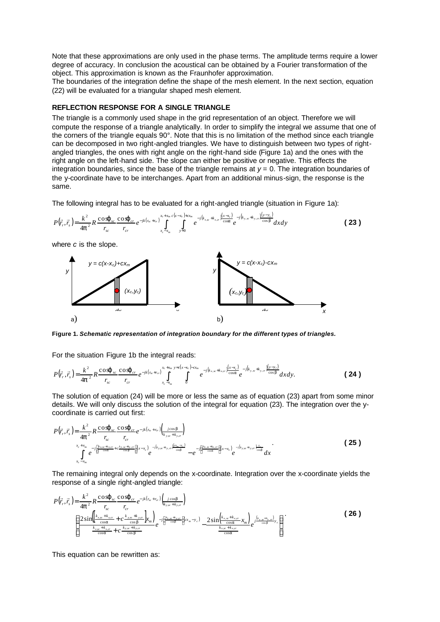Note that these approximations are only used in the phase terms. The amplitude terms require a lower degree of accuracy. In conclusion the acoustical can be obtained by a Fourier transformation of the object. This approximation is known as the Fraunhofer approximation.

The boundaries of the integration define the shape of the mesh element. In the next section, equation (22) will be evaluated for a triangular shaped mesh element.

## **REFLECTION RESPONSE FOR A SINGLE TRIANGLE**

The triangle is a commonly used shape in the grid representation of an object. Therefore we will compute the response of a triangle analytically. In order to simplify the integral we assume that one of the corners of the triangle equals 90°. Note that this is no limitation of the method since each triangle can be decomposed in two right-angled triangles. We have to distinguish between two types of rightangled triangles, the ones with right angle on the right-hand side (Figure 1a) and the ones with the right angle on the left-hand side. The slope can either be positive or negative. This effects the integration boundaries, since the base of the triangle remains at  $y = 0$ . The integration boundaries of the y-coordinate have to be interchanges. Apart from an additional minus-sign, the response is the same.

The following integral has to be evaluated for a right-angled triangle (situation in Figure 1a):



**Figure 1.** *Schematic representation of integration boundary for the different types of triangles.*

For the situation Figure 1b the integral reads:

$$
P(\vec{r}_r, \vec{r}_s) = \frac{k^2}{4p^2} R \frac{\cos j_{sc}}{r_{sc}} \frac{\cos j_{cr}}{r_{cr}} e^{-jk(r_{sc} + r_{cr})} \int_{x_c - x_m}^{x_c + x_m} \int_0^{y_c - c(x_m)} e^{-j(k_{x,sc} + k_{x,cr})} \frac{(x - x_c)}{\cos a} e^{-j(k_{y,sc} + k_{y,cr})} \frac{(y - y_c)}{\cos b} dxdy.
$$
 (24)

The solution of equation (24) will be more or less the same as of equation (23) apart from some minor details. We will only discuss the solution of the integral for equation (23). The integration over the ycoordinate is carried out first:

$$
P(\vec{r}_r, \vec{r}_s) = \frac{k^2}{4p^2} R \frac{\cos j_{sc} \cos j_{cr}}{r_{sc}} \frac{r_{cr}}{r_{cc}} + \sum_{r_{c} \text{cos} \atop \cos n} \left( \frac{r_{c} \sin n_{sc} \sin n_{sc} \sin n_{sc} \sin n_{sc} \sin n_{sc} \sin n_{sc} \sin n_{sc} \sin n_{sc} \sin n_{sc} \sin n_{sc} \sin n_{sc} \sin n_{sc} \sin n_{sc} \sin n_{sc} \sin n_{sc} \sin n_{sc} \sin n_{sc} \sin n_{sc} \sin n_{sc} \sin n_{sc} \sin n_{sc} \sin n_{sc} \sin n_{sc} \sin n_{sc} \sin n_{sc} \sin n_{sc} \sin n_{sc} \sin n_{sc} \sin n_{sc} \sin n_{sc} \sin n_{sc} \sin n_{sc} \sin n_{sc} \sin n_{sc} \sin n_{sc} \sin n_{sc} \sin n_{sc} \sin n_{sc} \sin n_{sc} \sin n_{sc} \sin n_{sc} \sin n_{sc} \sin n_{sc} \sin n_{sc} \sin n_{sc} \sin n_{sc} \sin n_{sc} \sin n_{sc} \sin n_{sc} \sin n_{sc} \sin n_{sc} \sin n_{sc} \sin n_{sc} \sin n_{sc} \sin n_{sc} \sin n_{sc} \sin n_{sc} \sin n_{sc} \sin n_{sc} \sin n_{sc} \sin n_{sc} \sin n_{sc} \sin n_{sc} \sin n_{sc} \sin n_{sc} \sin n_{sc} \sin n_{sc} \sin n_{sc} \sin n_{sc} \sin n_{sc} \sin n_{sc} \sin n_{sc} \sin n_{sc} \sin n_{sc} \sin n_{sc} \sin n_{sc} \sin n_{sc} \sin n_{sc} \sin n_{sc} \sin n_{sc} \sin n_{sc} \sin n_{sc} \sin n_{sc} \sin n_{sc} \sin n_{sc} \sin n_{sc} \sin n_{sc} \sin n_{sc} \sin n_{sc} \sin n_{sc} \sin n_{sc} \sin n_{sc} \sin n_{sc} \sin n_{sc} \sin n_{sc} \sin n_{sc} \sin n_{sc} \sin n_{sc} \sin n_{sc} \sin n_{sc} \sin n_{sc} \sin n_{sc} \sin n_{sc} \sin n_{sc} \sin n_{sc} \sin n_{sc} \sin n_{sc} \sin n_{sc} \sin n_{sc} \sin n_{sc} \sin n_{sc} \sin n_{
$$

The remaining integral only depends on the x-coordinate. Integration over the x-coordinate yields the response of a single right-angled triangle:

$$
P(\vec{r}_r, \vec{r}_s) = \frac{k^2}{4p^2} R \frac{\cos j_{sc} \cos j_{cr}}{r_{sc}} e^{-jk(r_{sc} + r_{cr})} \left(\frac{1}{k_{yx} + k_{yx}}\right)
$$
  

$$
\left\{\frac{2\sin\left(\frac{k_{xx} + k_{scr}}{2\cos\theta} + c \frac{k_{yx} + k_{yx}}{\cos\theta}\right) r_{m}}{r_{sc} + k_{xx} + c \frac{k_{yx} + k_{yx}}{\cos\theta}}\right\} e^{-j\left(\frac{k_{yx} + k_{yx}}{\cos\theta}\right)} e^{-j\left(\frac{k_{yx} + k_{yx}}{\cos\theta}\right)} e^{-j\left(\frac{k_{yx} + k_{xy}}{\cos\theta}\right)} e^{-j\left(\frac{k_{yx} + k_{xy}}{\cos\theta}\right)} e^{-j\left(\frac{k_{yx} + k_{xy}}{\cos\theta}\right)}.
$$
 (26)

This equation can be rewritten as: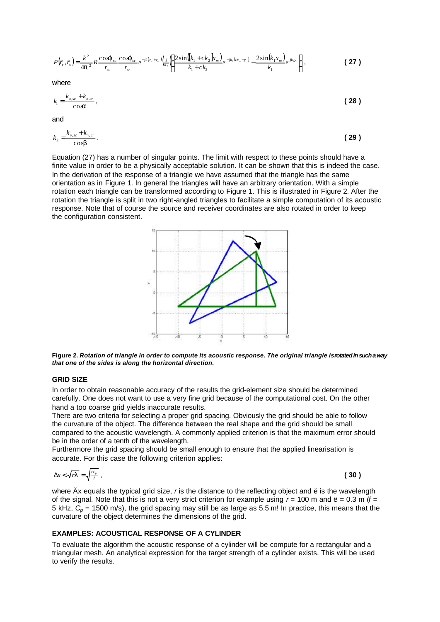$$
P(\vec{r}_r, \vec{r}_s) = \frac{k^2}{4p^2} R \frac{\cos \theta_{sc}}{r_{sc}} \frac{\cos \theta_{cr}}{r_{cr}} e^{-jk(r_{sc} + r_{cr})} \Big(\frac{1}{k_2}\Big) \Big\{ \frac{2 \sin([k_1 + ck_2]k_m)}{k_1 + ck_2} e^{-jk_2(c_m - y_c)} - \frac{2 \sin(k_1 x_m)}{k_1} e^{jk_2 y_c} \Big\} \,,
$$
 (27)

where

$$
k_1 = \frac{k_{x,sc} + k_{x,cr}}{\cos \alpha},
$$
 (28)

and

$$
k_2 = \frac{k_{y,sc} + k_{y,cr}}{\cos b} \,. \tag{29}
$$

Equation (27) has a number of singular points. The limit with respect to these points should have a finite value in order to be a physically acceptable solution. It can be shown that this is indeed the case. In the derivation of the response of a triangle we have assumed that the triangle has the same orientation as in Figure 1. In general the triangles will have an arbitrary orientation. With a simple rotation each triangle can be transformed according to Figure 1. This is illustrated in Figure 2. After the rotation the triangle is split in two right-angled triangles to facilitate a simple computation of its acoustic response. Note that of course the source and receiver coordinates are also rotated in order to keep the configuration consistent.



**Figure 2.** *Rotation of triangle in order to compute its acoustic response. The original triangle is rotated in such a way that one of the sides is along the horizontal direction.*

### **GRID SIZE**

In order to obtain reasonable accuracy of the results the grid-element size should be determined carefully. One does not want to use a very fine grid because of the computational cost. On the other hand a too coarse grid yields inaccurate results.

There are two criteria for selecting a proper grid spacing. Obviously the grid should be able to follow the curvature of the object. The difference between the real shape and the grid should be small compared to the acoustic wavelength. A commonly applied criterion is that the maximum error should be in the order of a tenth of the wavelength.

Furthermore the grid spacing should be small enough to ensure that the applied linearisation is accurate. For this case the following criterion applies:

$$
\Delta x < \sqrt{rI} = \sqrt{\frac{\kappa_p}{f}},
$$
 (30)

where Äx equals the typical grid size, *r* is the distance to the reflecting object and ë is the wavelength of the signal. Note that this is not a very strict criterion for example using  $r = 100$  m and  $\ddot{e} = 0.3$  m  $\dot{f} =$ 5 kHz, *C<sup>p</sup>* = 1500 m/s), the grid spacing may still be as large as 5.5 m! In practice, this means that the curvature of the object determines the dimensions of the grid.

### **EXAMPLES: ACOUSTICAL RESPONSE OF A CYLINDER**

To evaluate the algorithm the acoustic response of a cylinder will be compute for a rectangular and a triangular mesh. An analytical expression for the target strength of a cylinder exists. This will be used to verify the results.